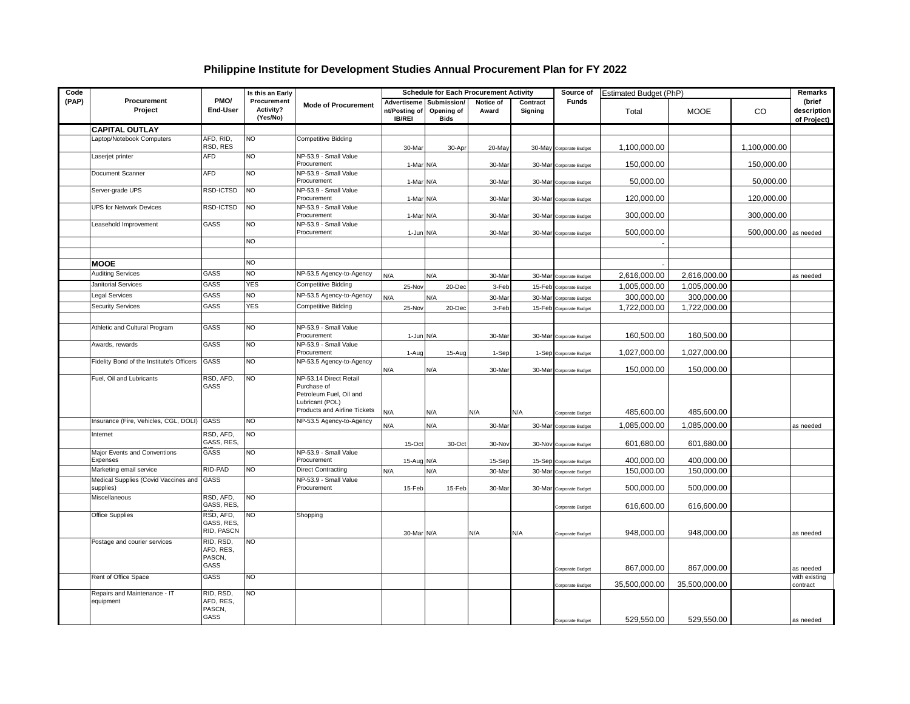## **Philippine Institute for Development Studies Annual Procurement Plan for FY 2022**

| Code  |                                                        |                                          | Is this an Early<br>Procurement<br>Activity?<br>(Yes/No) | <b>Mode of Procurement</b>                                                                                          |                                               |                                          | <b>Schedule for Each Procurement Activity</b> |                     | Source of               | Estimated Budget (PhP) | Remarks       |              |                                      |
|-------|--------------------------------------------------------|------------------------------------------|----------------------------------------------------------|---------------------------------------------------------------------------------------------------------------------|-----------------------------------------------|------------------------------------------|-----------------------------------------------|---------------------|-------------------------|------------------------|---------------|--------------|--------------------------------------|
| (PAP) | Procurement<br>Project                                 | PMO/<br>End-User                         |                                                          |                                                                                                                     | Advertiseme<br>nt/Posting of<br><b>IB/REI</b> | Submission/<br>Opening of<br><b>Bids</b> | Notice of<br>Award                            | Contract<br>Signing | <b>Funds</b>            | Total                  | <b>MOOE</b>   | <b>CO</b>    | (brief<br>description<br>of Project) |
|       | <b>CAPITAL OUTLAY</b>                                  |                                          |                                                          |                                                                                                                     |                                               |                                          |                                               |                     |                         |                        |               |              |                                      |
|       | Laptop/Notebook Computers                              | AFD, RID,<br>RSD, RES                    | <b>NO</b>                                                | <b>Competitive Bidding</b>                                                                                          | 30-Mar                                        | 30-Apr                                   | 20-May                                        |                     | 30-May Corporate Budget | 1,100,000.00           |               | 1,100,000.00 |                                      |
|       | Laserjet printer                                       | <b>AFD</b>                               | <b>NO</b>                                                | NP-53.9 - Small Value<br>Procurement                                                                                | 1-Mar N/A                                     |                                          | 30-Mar                                        |                     | 30-Mar Corporate Budget | 150,000.00             |               | 150,000.00   |                                      |
|       | Document Scanner                                       | <b>AFD</b>                               | <b>NO</b>                                                | NP-53.9 - Small Value<br>Procurement                                                                                | 1-Mar N/A                                     |                                          | 30-Mar                                        |                     | 30-Mar Corporate Budget | 50,000.00              |               | 50,000.00    |                                      |
|       | Server-grade UPS                                       | RSD-ICTSD                                | <b>NO</b>                                                | NP-53.9 - Small Value<br>Procurement                                                                                | 1-Mar N/A                                     |                                          | 30-Mar                                        |                     | 30-Mar Corporate Budget | 120,000.00             |               | 120,000.00   |                                      |
|       | <b>UPS for Network Devices</b>                         | RSD-ICTSD                                | <b>NO</b>                                                | NP-53.9 - Small Value<br>Procurement                                                                                | 1-Mar N/A                                     |                                          | 30-Mar                                        |                     | 30-Mar Corporate Budget | 300,000.00             |               | 300,000.00   |                                      |
|       | Leasehold Improvement                                  | GASS                                     | <b>NO</b>                                                | NP-53.9 - Small Value<br>Procurement                                                                                | 1-Jun N/A                                     |                                          | 30-Mar                                        |                     | 30-Mar Corporate Budget | 500,000.00             |               | 500,000.00   | as needed                            |
|       |                                                        |                                          | <b>NO</b>                                                |                                                                                                                     |                                               |                                          |                                               |                     |                         |                        |               |              |                                      |
|       | <b>MOOE</b>                                            |                                          | <b>NO</b>                                                |                                                                                                                     |                                               |                                          |                                               |                     |                         |                        |               |              |                                      |
|       | <b>Auditing Services</b>                               | <b>GASS</b>                              | NO <sub>1</sub>                                          | NP-53.5 Agency-to-Agency                                                                                            | N/A                                           | N/A                                      | 30-Mar                                        |                     | 30-Mar Corporate Budget | 2,616,000.00           | 2,616,000.00  |              | as needed                            |
|       | Janitorial Services                                    | GASS                                     | YES                                                      | Competitive Bidding                                                                                                 | 25-Nov                                        | 20-Dec                                   | 3-Feb                                         |                     | 15-Feb Corporate Budget | 1,005,000.00           | 1,005,000.00  |              |                                      |
|       | Legal Services                                         | GASS                                     | NO                                                       | NP-53.5 Agency-to-Agency                                                                                            | N/A                                           | N/A                                      | 30-Mar                                        |                     | 30-Mar Corporate Budget | 300,000.00             | 300,000.00    |              |                                      |
|       | <b>Security Services</b>                               | GASS                                     | YES                                                      | <b>Competitive Bidding</b>                                                                                          | 25-Nov                                        | 20-Dec                                   | 3-Feb                                         |                     | 15-Feb Corporate Budget | 1,722,000.00           | 1,722,000.00  |              |                                      |
|       |                                                        |                                          |                                                          |                                                                                                                     |                                               |                                          |                                               |                     |                         |                        |               |              |                                      |
|       | Athletic and Cultural Program                          | GASS                                     | <b>NO</b>                                                | NP-53.9 - Small Value<br>Procurement                                                                                | 1-Jun N/A                                     |                                          | 30-Mar                                        |                     | 30-Mar Corporate Budget | 160,500.00             | 160,500.00    |              |                                      |
|       | Awards, rewards                                        | GASS                                     | <b>NO</b>                                                | NP-53.9 - Small Value<br>Procurement                                                                                | 1-Aug                                         | 15-Aug                                   | 1-Sep                                         |                     | 1-Sep Corporate Budget  | 1,027,000.00           | 1,027,000.00  |              |                                      |
|       | Fidelity Bond of the Institute's Officers              | GASS                                     | <b>NO</b>                                                | NP-53.5 Agency-to-Agency                                                                                            | N/A                                           | N/A                                      | 30-Mar                                        |                     | 30-Mar Corporate Budget | 150,000.00             | 150,000.00    |              |                                      |
|       | Fuel, Oil and Lubricants                               | RSD, AFD,<br>GASS                        | NO                                                       | NP-53.14 Direct Retail<br>Purchase of<br>Petroleum Fuel, Oil and<br>Lubricant (POL)<br>Products and Airline Tickets | N/A                                           | N/A                                      | N/A                                           | N/A                 | Corporate Budget        | 485,600.00             | 485,600.00    |              |                                      |
|       | Insurance (Fire, Vehicles, CGL, DOLI) GASS             |                                          | <b>NO</b>                                                | NP-53.5 Agency-to-Agency                                                                                            | N/A                                           | N/A                                      | 30-Mar                                        |                     | 30-Mar Corporate Budget | 1,085,000.00           | 1,085,000.00  |              | as needed                            |
|       | Internet                                               | RSD, AFD,<br>GASS, RES,                  | NO                                                       |                                                                                                                     | 15-Oct                                        | 30-Oct                                   | 30-Nov                                        |                     | 30-Nov Corporate Budget | 601,680.00             | 601,680.00    |              |                                      |
|       | Major Events and Conventions<br>Expenses               | GASS                                     | <b>NO</b>                                                | NP-53.9 - Small Value<br>Procurement                                                                                | 15-Aug N/A                                    |                                          | 15-Sep                                        |                     | 15-Sep Corporate Budget | 400,000.00             | 400,000.00    |              |                                      |
|       | Marketing email service                                | RID-PAD                                  | <b>NO</b>                                                | <b>Direct Contracting</b>                                                                                           | N/A                                           | N/A                                      | 30-Mar                                        |                     | 30-Mar Corporate Budget | 150,000.00             | 150,000.00    |              |                                      |
|       | Medical Supplies (Covid Vaccines and GASS<br>supplies) |                                          |                                                          | NP-53.9 - Small Value<br>Procurement                                                                                | 15-Feb                                        | 15-Feb                                   | 30-Mar                                        |                     | 30-Mar Corporate Budget | 500,000.00             | 500,000.00    |              |                                      |
|       | Miscellaneous                                          | RSD, AFD,<br>GASS, RES,                  | <b>NO</b>                                                |                                                                                                                     |                                               |                                          |                                               |                     | Corporate Budget        | 616,600.00             | 616,600.00    |              |                                      |
|       | Office Supplies                                        | RSD, AFD,<br>GASS, RES,<br>RID, PASCN    | <b>NO</b>                                                | Shopping                                                                                                            | 30-Mar N/A                                    |                                          | N/A                                           | N/A                 | Corporate Budget        | 948,000.00             | 948,000.00    |              | as needed                            |
|       | Postage and courier services                           | RID, RSD,<br>AFD, RES,<br>PASCN,<br>GASS | <b>NO</b>                                                |                                                                                                                     |                                               |                                          |                                               |                     | Corporate Budget        | 867,000.00             | 867,000.00    |              | as needed                            |
|       | Rent of Office Space                                   | GASS                                     | <b>NO</b>                                                |                                                                                                                     |                                               |                                          |                                               |                     | Corporate Budget        | 35,500,000.00          | 35,500,000.00 |              | with existing<br>contract            |
|       | Repairs and Maintenance - IT<br>equipment              | RID, RSD,<br>AFD, RES,<br>PASCN,<br>GASS | <b>NO</b>                                                |                                                                                                                     |                                               |                                          |                                               |                     | Corporate Budget        | 529,550.00             | 529,550.00    |              | as needed                            |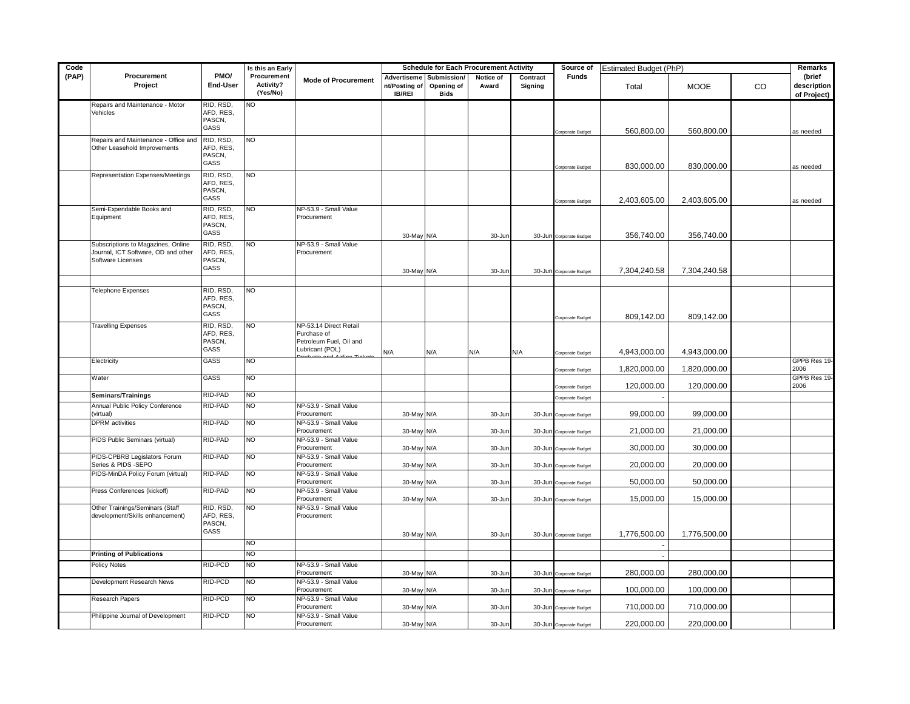| Code  |                                                                           |                        | Is this an Early                     |                                       | <b>Schedule for Each Procurement Activity</b> |                                                      |                    | Source of<br>Estimated Budget (PhP) |                         |              |              | Remarks |                                      |
|-------|---------------------------------------------------------------------------|------------------------|--------------------------------------|---------------------------------------|-----------------------------------------------|------------------------------------------------------|--------------------|-------------------------------------|-------------------------|--------------|--------------|---------|--------------------------------------|
| (PAP) | Procurement<br>Project                                                    | PMO/<br>End-User       | Procurement<br>Activity?<br>(Yes/No) | <b>Mode of Procurement</b>            | nt/Posting of<br><b>IB/REI</b>                | Advertiseme Submission/<br>Opening of<br><b>Bids</b> | Notice of<br>Award | Contract<br>Signing                 | Funds                   | Total        | <b>MOOE</b>  | CO.     | (brief<br>description<br>of Project) |
|       | Repairs and Maintenance - Motor<br>Vehicles                               | RID, RSD,<br>AFD, RES, | NO.                                  |                                       |                                               |                                                      |                    |                                     |                         |              |              |         |                                      |
|       |                                                                           | PASCN,                 |                                      |                                       |                                               |                                                      |                    |                                     |                         |              |              |         |                                      |
|       |                                                                           | GASS                   |                                      |                                       |                                               |                                                      |                    |                                     | Corporate Budget        | 560,800.00   | 560,800.00   |         | as needed                            |
|       | Repairs and Maintenance - Office and<br>Other Leasehold Improvements      | RID, RSD,<br>AFD, RES, | <b>NO</b>                            |                                       |                                               |                                                      |                    |                                     |                         |              |              |         |                                      |
|       |                                                                           | PASCN,                 |                                      |                                       |                                               |                                                      |                    |                                     |                         |              |              |         |                                      |
|       |                                                                           | GASS                   |                                      |                                       |                                               |                                                      |                    |                                     | Corporate Budget        | 830,000.00   | 830,000.00   |         | as needed                            |
|       | Representation Expenses/Meetings                                          | RID, RSD,<br>AFD, RES, | <b>NO</b>                            |                                       |                                               |                                                      |                    |                                     |                         |              |              |         |                                      |
|       |                                                                           | PASCN,                 |                                      |                                       |                                               |                                                      |                    |                                     |                         |              |              |         |                                      |
|       |                                                                           | GASS                   |                                      |                                       |                                               |                                                      |                    |                                     | Corporate Budget        | 2,403,605.00 | 2,403,605.00 |         | as needed                            |
|       | Semi-Expendable Books and<br>Equipment                                    | RID, RSD,<br>AFD, RES, | <b>NO</b>                            | NP-53.9 - Small Value<br>Procurement  |                                               |                                                      |                    |                                     |                         |              |              |         |                                      |
|       |                                                                           | PASCN,                 |                                      |                                       |                                               |                                                      |                    |                                     |                         |              |              |         |                                      |
|       |                                                                           | GASS                   |                                      |                                       | 30-May N/A                                    |                                                      | 30-Jun             |                                     | 30-Jun Corporate Budget | 356,740.00   | 356,740.00   |         |                                      |
|       | Subscriptions to Magazines, Online<br>Journal, ICT Software, OD and other | RID, RSD,<br>AFD, RES, | <b>NO</b>                            | NP-53.9 - Small Value<br>Procurement  |                                               |                                                      |                    |                                     |                         |              |              |         |                                      |
|       | Software Licenses                                                         | PASCN,                 |                                      |                                       |                                               |                                                      |                    |                                     |                         |              |              |         |                                      |
|       |                                                                           | GASS                   |                                      |                                       | 30-May N/A                                    |                                                      | 30-Jun             |                                     | 30-Jun Corporate Budget | 7,304,240.58 | 7,304,240.58 |         |                                      |
|       |                                                                           |                        |                                      |                                       |                                               |                                                      |                    |                                     |                         |              |              |         |                                      |
|       | <b>Telephone Expenses</b>                                                 | RID, RSD,<br>AFD, RES, | NO.                                  |                                       |                                               |                                                      |                    |                                     |                         |              |              |         |                                      |
|       |                                                                           | PASCN,                 |                                      |                                       |                                               |                                                      |                    |                                     |                         |              |              |         |                                      |
|       |                                                                           | GASS                   |                                      |                                       |                                               |                                                      |                    |                                     | Corporate Budget        | 809,142.00   | 809,142.00   |         |                                      |
|       | <b>Travelling Expenses</b>                                                | RID, RSD,<br>AFD, RES, | <b>NO</b>                            | NP-53.14 Direct Retail<br>Purchase of |                                               |                                                      |                    |                                     |                         |              |              |         |                                      |
|       |                                                                           | PASCN,                 |                                      | Petroleum Fuel, Oil and               |                                               |                                                      |                    |                                     |                         |              |              |         |                                      |
|       |                                                                           | GASS                   |                                      | Lubricant (POL)                       | N/A                                           | N/A                                                  | N/A                | N/A                                 | Corporate Budget        | 4,943,000.00 | 4,943,000.00 |         |                                      |
|       | Electricity                                                               | GASS                   | <b>NO</b>                            |                                       |                                               |                                                      |                    |                                     | Corporate Budget        | 1,820,000.00 | 1,820,000.00 |         | GPPB Res 19-<br>2006                 |
|       | Water                                                                     | GASS                   | <b>NO</b>                            |                                       |                                               |                                                      |                    |                                     | Corporate Budget        | 120,000.00   | 120,000.00   |         | GPPB Res 19-<br>2006                 |
|       | Seminars/Trainings                                                        | RID-PAD                | <b>NO</b>                            |                                       |                                               |                                                      |                    |                                     | Corporate Budget        |              |              |         |                                      |
|       | Annual Public Policy Conference<br>virtual)                               | RID-PAD                | N <sub>O</sub>                       | NP-53.9 - Small Value<br>Procurement  | 30-May N/A                                    |                                                      | 30-Jur             |                                     | 30-Jun Corporate Budget | 99,000.00    | 99,000.00    |         |                                      |
|       | <b>DPRM</b> activities                                                    | RID-PAD                | <b>NO</b>                            | NP-53.9 - Small Value                 |                                               |                                                      |                    |                                     |                         |              |              |         |                                      |
|       |                                                                           | RID-PAD                | <b>NO</b>                            | Procurement<br>NP-53.9 - Small Value  | 30-May N/A                                    |                                                      | 30-Jun             |                                     | 30-Jun Corporate Budget | 21,000.00    | 21,000.00    |         |                                      |
|       | PIDS Public Seminars (virtual)                                            |                        |                                      | Procurement                           | 30-May N/A                                    |                                                      | 30-Jun             |                                     | 30-Jun Corporate Budget | 30,000.00    | 30,000.00    |         |                                      |
|       | PIDS-CPBRB Legislators Forum                                              | RID-PAD                | <b>NO</b>                            | NP-53.9 - Small Value                 |                                               |                                                      |                    |                                     |                         |              |              |         |                                      |
|       | Series & PIDS -SEPO<br>PIDS-MinDA Policy Forum (virtual)                  | RID-PAD                | N <sub>O</sub>                       | Procurement<br>NP-53.9 - Small Value  | 30-May N/A                                    |                                                      | 30-Jun             |                                     | 30-Jun Corporate Budget | 20,000.00    | 20,000.00    |         |                                      |
|       |                                                                           |                        |                                      | Procurement                           | 30-May N/A                                    |                                                      | 30-Jur             |                                     | 30-Jun Corporate Budget | 50,000.00    | 50,000.00    |         |                                      |
|       | Press Conferences (kickoff)                                               | RID-PAD                | <b>NO</b>                            | NP-53.9 - Small Value                 |                                               |                                                      |                    |                                     |                         |              |              |         |                                      |
|       | Other Trainings/Seminars (Staff                                           | RID, RSD,              | NO                                   | Procurement<br>NP-53.9 - Small Value  | 30-May N/A                                    |                                                      | 30-Jun             |                                     | 30-Jun Corporate Budget | 15,000.00    | 15,000.00    |         |                                      |
|       | development/Skills enhancement)                                           | AFD, RES,              |                                      | Procurement                           |                                               |                                                      |                    |                                     |                         |              |              |         |                                      |
|       |                                                                           | PASCN,<br>GASS         |                                      |                                       |                                               |                                                      |                    |                                     |                         |              |              |         |                                      |
|       |                                                                           |                        | <b>NO</b>                            |                                       | 30-May N/A                                    |                                                      | 30-Jur             |                                     | 30-Jun Corporate Budget | 1,776,500.00 | 1,776,500.00 |         |                                      |
|       | <b>Printing of Publications</b>                                           |                        | NO                                   |                                       |                                               |                                                      |                    |                                     |                         |              |              |         |                                      |
|       | Policy Notes                                                              | RID-PCD                | NO                                   | NP-53.9 - Small Value                 |                                               |                                                      |                    |                                     |                         |              |              |         |                                      |
|       |                                                                           |                        |                                      | Procurement                           | 30-May N/A                                    |                                                      | 30-Jur             |                                     | 30-Jun Corporate Budget | 280,000.00   | 280,000.00   |         |                                      |
|       | Development Research News                                                 | RID-PCD                | <b>NO</b>                            | NP-53.9 - Small Value<br>Procurement  | 30-May N/A                                    |                                                      | 30-Jun             |                                     | 30-Jun Corporate Budget | 100,000.00   | 100,000.00   |         |                                      |
|       | Research Papers                                                           | RID-PCD                | S                                    | NP-53.9 - Small Value                 |                                               |                                                      |                    |                                     |                         |              |              |         |                                      |
|       | Philippine Journal of Development                                         | RID-PCD                | <b>NO</b>                            | Procurement<br>NP-53.9 - Small Value  | 30-May N/A                                    |                                                      | 30-Jur             | 30-Jun                              | Corporate Budget        | 710,000.00   | 710,000.00   |         |                                      |
|       |                                                                           |                        |                                      | Procurement                           | 30-May N/A                                    |                                                      | 30-Jun             |                                     | 30-Jun Corporate Budget | 220,000.00   | 220,000.00   |         |                                      |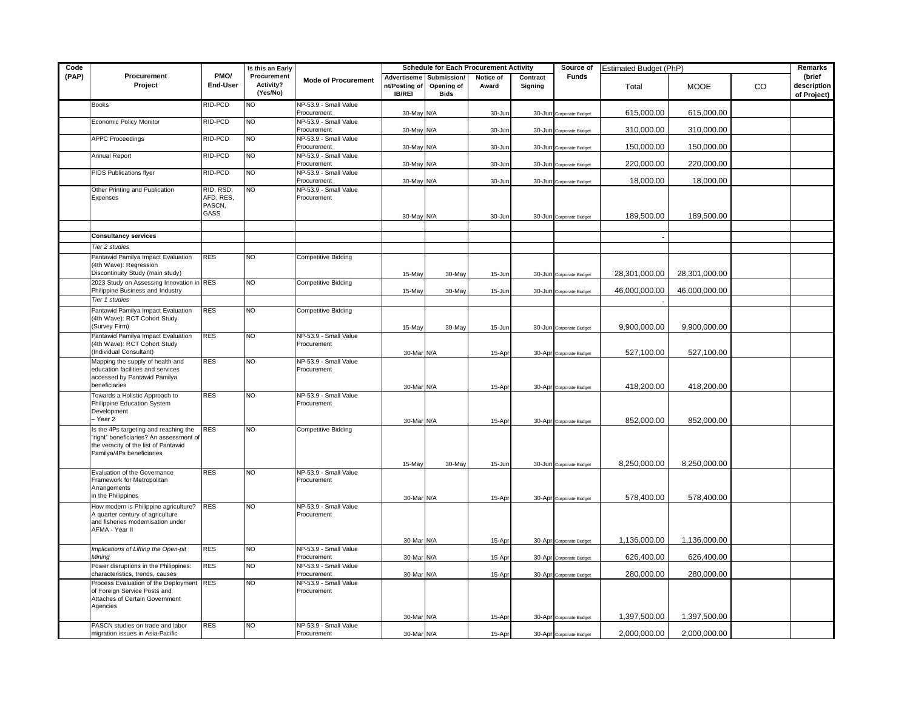| Code  |                                                                                                                                                       |                                          | Is this an Early                     |                                      | <b>Schedule for Each Procurement Activity</b> |                                          |                    |                     | Source of<br>Estimated Budget (PhP)                |               |                         |    | Remarks                              |
|-------|-------------------------------------------------------------------------------------------------------------------------------------------------------|------------------------------------------|--------------------------------------|--------------------------------------|-----------------------------------------------|------------------------------------------|--------------------|---------------------|----------------------------------------------------|---------------|-------------------------|----|--------------------------------------|
| (PAP) | Procurement<br>Project                                                                                                                                | PMO/<br>End-User                         | Procurement<br>Activity?<br>(Yes/No) | <b>Mode of Procurement</b>           | Advertiseme<br>nt/Posting of<br><b>IB/REI</b> | Submission/<br>Opening of<br><b>Bids</b> | Notice of<br>Award | Contract<br>Signing | <b>Funds</b>                                       | Total         | <b>MOOE</b>             | CO | (brief<br>description<br>of Project) |
|       | <b>Books</b>                                                                                                                                          | RID-PCD                                  | NO.                                  | NP-53.9 - Small Value<br>Procurement | 30-May N/A                                    |                                          | 30-Jun             |                     | 30-Jun Corporate Budget                            | 615,000.00    | 615,000.00              |    |                                      |
|       | Economic Policy Monitor                                                                                                                               | RID-PCD                                  | ΖŌ                                   | NP-53.9 - Small Value<br>Procurement | 30-May N/A                                    |                                          | 30-Jur             | 30-Jun              | Corporate Budget                                   | 310,000.00    | 310,000.00              |    |                                      |
|       | <b>APPC Proceedings</b>                                                                                                                               | RID-PCD                                  | NO                                   | NP-53.9 - Small Value<br>Procurement | 30-May N/A                                    |                                          | 30-Jun             |                     | 30-Jun Corporate Budget                            | 150,000.00    | 150,000.00              |    |                                      |
|       | Annual Report                                                                                                                                         | RID-PCD                                  | NO <sub>1</sub>                      | NP-53.9 - Small Value<br>Procurement | 30-May N/A                                    |                                          | 30-Jur             |                     | 30-Jun Corporate Budget                            | 220,000.00    | 220,000.00              |    |                                      |
|       | PIDS Publications flyer                                                                                                                               | RID-PCD                                  | <b>NO</b>                            | NP-53.9 - Small Value<br>Procurement |                                               |                                          |                    |                     |                                                    | 18,000.00     |                         |    |                                      |
|       | Other Printing and Publication<br>Expenses                                                                                                            | RID, RSD,<br>AFD, RES,<br>PASCN,<br>GASS | NO                                   | NP-53.9 - Small Value<br>Procurement | 30-May N/A<br>30-May N/A                      |                                          | 30-Jun<br>30-Jun   |                     | 30-Jun Corporate Budget<br>30-Jun Corporate Budget | 189,500.00    | 18,000.00<br>189,500.00 |    |                                      |
|       |                                                                                                                                                       |                                          |                                      |                                      |                                               |                                          |                    |                     |                                                    |               |                         |    |                                      |
|       | <b>Consultancy services</b>                                                                                                                           |                                          |                                      |                                      |                                               |                                          |                    |                     |                                                    |               |                         |    |                                      |
|       | <b>Tier 2 studies</b>                                                                                                                                 |                                          |                                      |                                      |                                               |                                          |                    |                     |                                                    |               |                         |    |                                      |
|       | Pantawid Pamilya Impact Evaluation<br>(4th Wave): Regression<br>Discontinuity Study (main study)                                                      | <b>RES</b>                               | NO                                   | <b>Competitive Bidding</b>           | 15-May                                        | 30-May                                   | 15-Jun             |                     | 30-Jun Corporate Budget                            | 28,301,000.00 | 28,301,000.00           |    |                                      |
|       | 2023 Study on Assessing Innovation in RES<br>Philippine Business and Industry                                                                         |                                          | N <sub>O</sub>                       | <b>Competitive Bidding</b>           | 15-May                                        | 30-May                                   | 15-Jun             |                     | 30-Jun Corporate Budget                            | 46,000,000.00 | 46,000,000.00           |    |                                      |
|       | Tier 1 studies                                                                                                                                        |                                          |                                      |                                      |                                               |                                          |                    |                     |                                                    |               |                         |    |                                      |
|       | Pantawid Pamilya Impact Evaluation<br>(4th Wave): RCT Cohort Study<br>(Survey Firm)                                                                   | <b>RES</b>                               | NO                                   | <b>Competitive Bidding</b>           | 15-May                                        | 30-May                                   | 15-Jur             |                     | 30-Jun Corporate Budget                            | 9,900,000.00  | 9,900,000.00            |    |                                      |
|       | Pantawid Pamilya Impact Evaluation<br>(4th Wave): RCT Cohort Study<br>(Individual Consultant)                                                         | <b>RES</b>                               | ΝO                                   | NP-53.9 - Small Value<br>Procurement | 30-Mar N/A                                    |                                          | 15-Apr             |                     | 30-Apr Corporate Budget                            | 527,100.00    | 527,100.00              |    |                                      |
|       | Mapping the supply of health and<br>education facilities and services<br>accessed by Pantawid Pamilya<br>beneficiaries                                | <b>RES</b>                               | <b>NO</b>                            | NP-53.9 - Small Value<br>Procurement | 30-Mar N/A                                    |                                          | 15-Apr             |                     | 30-Apr Corporate Budget                            | 418,200.00    | 418,200.00              |    |                                      |
|       | Towards a Holistic Approach to<br>Philippine Education System<br>Development<br>- Year 2                                                              | <b>RES</b>                               | ΖŌ                                   | NP-53.9 - Small Value<br>Procurement | 30-Mar N/A                                    |                                          | 15-Apr             |                     | 30-Apr Corporate Budget                            | 852,000.00    | 852,000.00              |    |                                      |
|       | Is the 4Ps targeting and reaching the<br>"right" beneficiaries? An assessment of<br>the veracity of the list of Pantawid<br>Pamilya/4Ps beneficiaries | <b>RES</b>                               | NO                                   | <b>Competitive Bidding</b>           |                                               |                                          |                    |                     |                                                    | 8,250,000.00  | 8,250,000.00            |    |                                      |
|       | Evaluation of the Governance                                                                                                                          | <b>RES</b>                               | NO.                                  | NP-53.9 - Small Value                | 15-May                                        | 30-May                                   | 15-Jun             |                     | 30-Jun Corporate Budget                            |               |                         |    |                                      |
|       | Framework for Metropolitan<br>Arrangements<br>in the Philippines                                                                                      |                                          |                                      | Procurement                          | 30-Mar N/A                                    |                                          | 15-Apr             |                     | 30-Apr Corporate Budget                            | 578,400.00    | 578,400.00              |    |                                      |
|       | How modern is Philippine agriculture?<br>A quarter century of agriculture<br>and fisheries modernisation under<br>AFMA - Year II                      | <b>RES</b>                               | NO                                   | NP-53.9 - Small Value<br>Procurement | 30-Mar N/A                                    |                                          | 15-Apr             |                     | 30-Apr Corporate Budget                            | 1,136,000.00  | 1,136,000.00            |    |                                      |
|       | Implications of Lifting the Open-pit<br>Minina                                                                                                        | <b>RES</b>                               | NO                                   | NP-53.9 - Small Value<br>Procurement | 30-Mar N/A                                    |                                          | 15-Apr             |                     | 30-Apr Corporate Budget                            | 626,400.00    | 626,400.00              |    |                                      |
|       | Power disruptions in the Philippines:<br>characteristics, trends, causes                                                                              | <b>RES</b>                               | NO                                   | NP-53.9 - Small Value<br>Procurement | 30-Mar N/A                                    |                                          | 15-Apr             |                     | 30-Apr Corporate Budget                            | 280,000.00    | 280,000.00              |    |                                      |
|       | Process Evaluation of the Deployment<br>of Foreign Service Posts and<br>Attaches of Certain Government<br>Agencies                                    | <b>RES</b>                               | NO                                   | NP-53.9 - Small Value<br>Procurement |                                               |                                          |                    |                     |                                                    |               |                         |    |                                      |
|       | PASCN studies on trade and labor                                                                                                                      | <b>RES</b>                               | NO.                                  | NP-53.9 - Small Value                | 30-Mar N/A                                    |                                          | 15-Apr             |                     | 30-Apr Corporate Budget                            | 1,397,500.00  | 1,397,500.00            |    |                                      |
|       | migration issues in Asia-Pacific                                                                                                                      |                                          |                                      | Procurement                          | 30-Mar N/A                                    |                                          | 15-Apr             |                     | 30-Apr Corporate Budget                            | 2,000,000.00  | 2,000,000.00            |    |                                      |